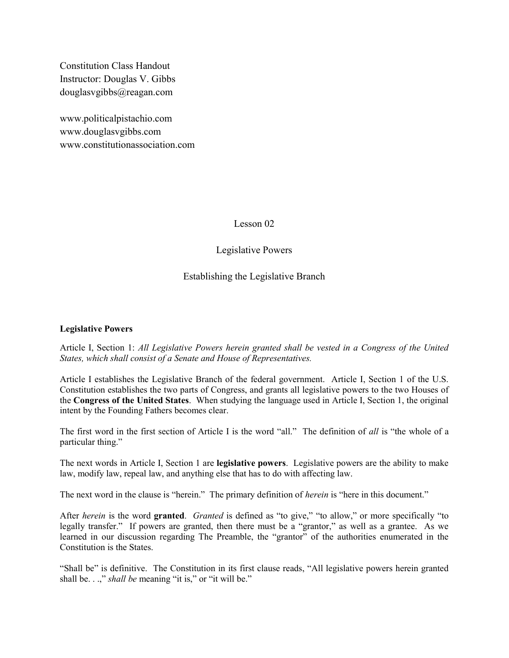Constitution Class Handout Instructor: Douglas V. Gibbs douglasvgibbs@reagan.com

www.politicalpistachio.com www.douglasvgibbs.com www.constitutionassociation.com

Lesson 02

## Legislative Powers

Establishing the Legislative Branch

### Legislative Powers

Article I, Section 1: All Legislative Powers herein granted shall be vested in a Congress of the United States, which shall consist of a Senate and House of Representatives.

Article I establishes the Legislative Branch of the federal government. Article I, Section 1 of the U.S. Constitution establishes the two parts of Congress, and grants all legislative powers to the two Houses of the Congress of the United States. When studying the language used in Article I, Section 1, the original intent by the Founding Fathers becomes clear.

The first word in the first section of Article I is the word "all." The definition of all is "the whole of a particular thing."

The next words in Article I, Section 1 are legislative powers. Legislative powers are the ability to make law, modify law, repeal law, and anything else that has to do with affecting law.

The next word in the clause is "herein." The primary definition of *herein* is "here in this document."

After *herein* is the word **granted**. Granted is defined as "to give," "to allow," or more specifically "to legally transfer." If powers are granted, then there must be a "grantor," as well as a grantee. As we learned in our discussion regarding The Preamble, the "grantor" of the authorities enumerated in the Constitution is the States.

"Shall be" is definitive. The Constitution in its first clause reads, "All legislative powers herein granted shall be. . .," shall be meaning "it is," or "it will be."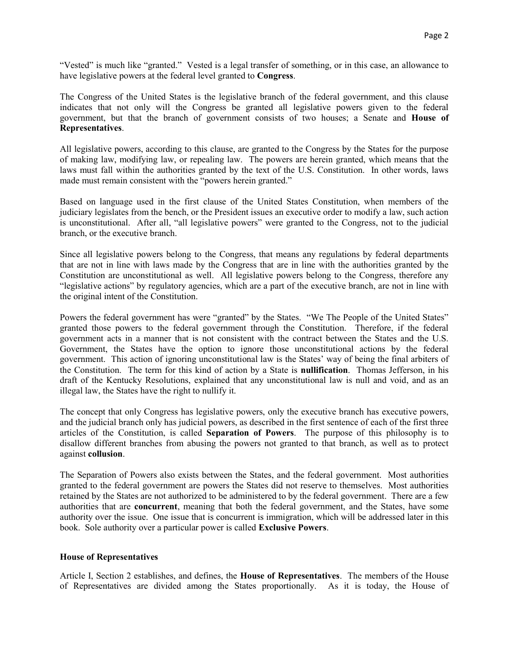"Vested" is much like "granted." Vested is a legal transfer of something, or in this case, an allowance to have legislative powers at the federal level granted to Congress.

The Congress of the United States is the legislative branch of the federal government, and this clause indicates that not only will the Congress be granted all legislative powers given to the federal government, but that the branch of government consists of two houses; a Senate and House of Representatives.

All legislative powers, according to this clause, are granted to the Congress by the States for the purpose of making law, modifying law, or repealing law. The powers are herein granted, which means that the laws must fall within the authorities granted by the text of the U.S. Constitution. In other words, laws made must remain consistent with the "powers herein granted."

Based on language used in the first clause of the United States Constitution, when members of the judiciary legislates from the bench, or the President issues an executive order to modify a law, such action is unconstitutional. After all, "all legislative powers" were granted to the Congress, not to the judicial branch, or the executive branch.

Since all legislative powers belong to the Congress, that means any regulations by federal departments that are not in line with laws made by the Congress that are in line with the authorities granted by the Constitution are unconstitutional as well. All legislative powers belong to the Congress, therefore any "legislative actions" by regulatory agencies, which are a part of the executive branch, are not in line with the original intent of the Constitution.

Powers the federal government has were "granted" by the States. "We The People of the United States" granted those powers to the federal government through the Constitution. Therefore, if the federal government acts in a manner that is not consistent with the contract between the States and the U.S. Government, the States have the option to ignore those unconstitutional actions by the federal government. This action of ignoring unconstitutional law is the States' way of being the final arbiters of the Constitution. The term for this kind of action by a State is nullification. Thomas Jefferson, in his draft of the Kentucky Resolutions, explained that any unconstitutional law is null and void, and as an illegal law, the States have the right to nullify it.

The concept that only Congress has legislative powers, only the executive branch has executive powers, and the judicial branch only has judicial powers, as described in the first sentence of each of the first three articles of the Constitution, is called Separation of Powers. The purpose of this philosophy is to disallow different branches from abusing the powers not granted to that branch, as well as to protect against collusion.

The Separation of Powers also exists between the States, and the federal government. Most authorities granted to the federal government are powers the States did not reserve to themselves. Most authorities retained by the States are not authorized to be administered to by the federal government. There are a few authorities that are concurrent, meaning that both the federal government, and the States, have some authority over the issue. One issue that is concurrent is immigration, which will be addressed later in this book. Sole authority over a particular power is called Exclusive Powers.

#### House of Representatives

Article I, Section 2 establishes, and defines, the House of Representatives. The members of the House of Representatives are divided among the States proportionally. As it is today, the House of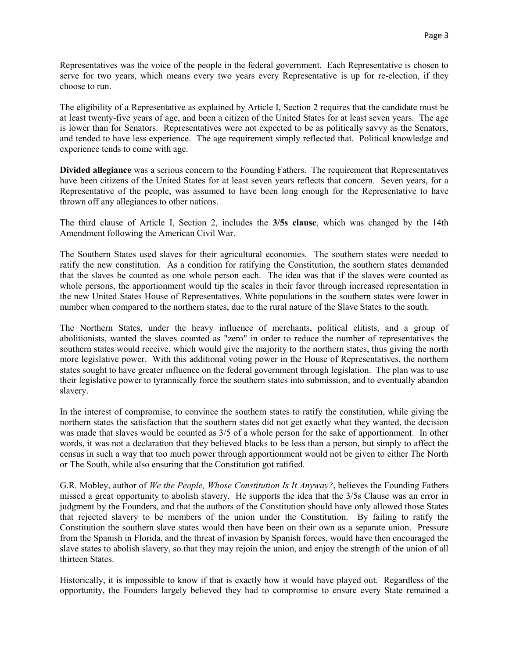Representatives was the voice of the people in the federal government. Each Representative is chosen to serve for two years, which means every two years every Representative is up for re-election, if they choose to run.

The eligibility of a Representative as explained by Article I, Section 2 requires that the candidate must be at least twenty-five years of age, and been a citizen of the United States for at least seven years. The age is lower than for Senators. Representatives were not expected to be as politically savvy as the Senators, and tended to have less experience. The age requirement simply reflected that. Political knowledge and experience tends to come with age.

Divided allegiance was a serious concern to the Founding Fathers. The requirement that Representatives have been citizens of the United States for at least seven years reflects that concern. Seven years, for a Representative of the people, was assumed to have been long enough for the Representative to have thrown off any allegiances to other nations.

The third clause of Article I, Section 2, includes the 3/5s clause, which was changed by the 14th Amendment following the American Civil War.

The Southern States used slaves for their agricultural economies. The southern states were needed to ratify the new constitution. As a condition for ratifying the Constitution, the southern states demanded that the slaves be counted as one whole person each. The idea was that if the slaves were counted as whole persons, the apportionment would tip the scales in their favor through increased representation in the new United States House of Representatives. White populations in the southern states were lower in number when compared to the northern states, due to the rural nature of the Slave States to the south.

The Northern States, under the heavy influence of merchants, political elitists, and a group of abolitionists, wanted the slaves counted as "zero" in order to reduce the number of representatives the southern states would receive, which would give the majority to the northern states, thus giving the north more legislative power. With this additional voting power in the House of Representatives, the northern states sought to have greater influence on the federal government through legislation. The plan was to use their legislative power to tyrannically force the southern states into submission, and to eventually abandon slavery.

In the interest of compromise, to convince the southern states to ratify the constitution, while giving the northern states the satisfaction that the southern states did not get exactly what they wanted, the decision was made that slaves would be counted as 3/5 of a whole person for the sake of apportionment. In other words, it was not a declaration that they believed blacks to be less than a person, but simply to affect the census in such a way that too much power through apportionment would not be given to either The North or The South, while also ensuring that the Constitution got ratified.

G.R. Mobley, author of We the People, Whose Constitution Is It Anyway?, believes the Founding Fathers missed a great opportunity to abolish slavery. He supports the idea that the 3/5s Clause was an error in judgment by the Founders, and that the authors of the Constitution should have only allowed those States that rejected slavery to be members of the union under the Constitution. By failing to ratify the Constitution the southern slave states would then have been on their own as a separate union. Pressure from the Spanish in Florida, and the threat of invasion by Spanish forces, would have then encouraged the slave states to abolish slavery, so that they may rejoin the union, and enjoy the strength of the union of all thirteen States.

Historically, it is impossible to know if that is exactly how it would have played out. Regardless of the opportunity, the Founders largely believed they had to compromise to ensure every State remained a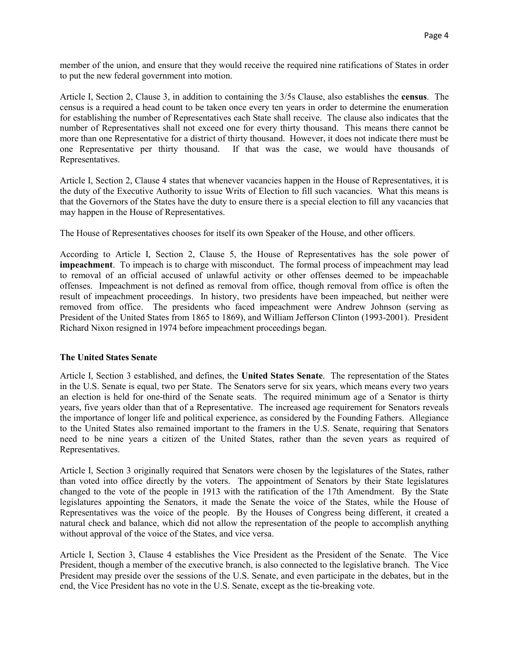member of the union, and ensure that they would receive the required nine ratifications of States in order to put the new federal government into motion.

Article I, Section 2, Clause 3, in addition to containing the 3/5s Clause, also establishes the census. The census is a required a head count to be taken once every ten years in order to determine the enumeration for establishing the number of Representatives each State shall receive. The clause also indicates that the number of Representatives shall not exceed one for every thirty thousand. This means there cannot be more than one Representative for a district of thirty thousand. However, it does not indicate there must be one Representative per thirty thousand. If that was the case, we would have thousands of Representatives.

Article I, Section 2, Clause 4 states that whenever vacancies happen in the House of Representatives, it is the duty of the Executive Authority to issue Writs of Election to fill such vacancies. What this means is that the Governors of the States have the duty to ensure there is a special election to fill any vacancies that may happen in the House of Representatives.

The House of Representatives chooses for itself its own Speaker of the House, and other officers.

According to Article I, Section 2, Clause 5, the House of Representatives has the sole power of impeachment. To impeach is to charge with misconduct. The formal process of impeachment may lead to removal of an official accused of unlawful activity or other offenses deemed to be impeachable offenses. Impeachment is not defined as removal from office, though removal from office is often the result of impeachment proceedings. In history, two presidents have been impeached, but neither were removed from office. The presidents who faced impeachment were Andrew Johnson (serving as President of the United States from 1865 to 1869), and William Jefferson Clinton (1993-2001). President Richard Nixon resigned in 1974 before impeachment proceedings began.

### The United States Senate

Article I, Section 3 established, and defines, the United States Senate. The representation of the States in the U.S. Senate is equal, two per State. The Senators serve for six years, which means every two years an election is held for one-third of the Senate seats. The required minimum age of a Senator is thirty years, five years older than that of a Representative. The increased age requirement for Senators reveals the importance of longer life and political experience, as considered by the Founding Fathers. Allegiance to the United States also remained important to the framers in the U.S. Senate, requiring that Senators need to be nine years a citizen of the United States, rather than the seven years as required of Representatives.

Article I, Section 3 originally required that Senators were chosen by the legislatures of the States, rather than voted into office directly by the voters. The appointment of Senators by their State legislatures changed to the vote of the people in 1913 with the ratification of the 17th Amendment. By the State legislatures appointing the Senators, it made the Senate the voice of the States, while the House of Representatives was the voice of the people. By the Houses of Congress being different, it created a natural check and balance, which did not allow the representation of the people to accomplish anything without approval of the voice of the States, and vice versa.

Article I, Section 3, Clause 4 establishes the Vice President as the President of the Senate. The Vice President, though a member of the executive branch, is also connected to the legislative branch. The Vice President may preside over the sessions of the U.S. Senate, and even participate in the debates, but in the end, the Vice President has no vote in the U.S. Senate, except as the tie-breaking vote.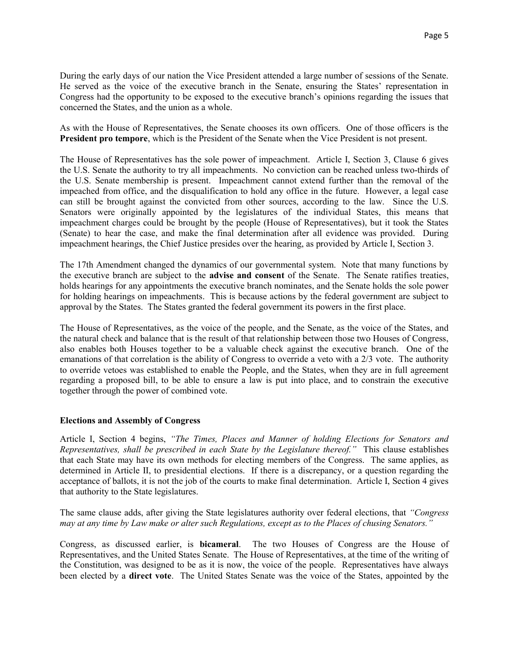During the early days of our nation the Vice President attended a large number of sessions of the Senate. He served as the voice of the executive branch in the Senate, ensuring the States' representation in Congress had the opportunity to be exposed to the executive branch's opinions regarding the issues that concerned the States, and the union as a whole.

As with the House of Representatives, the Senate chooses its own officers. One of those officers is the President pro tempore, which is the President of the Senate when the Vice President is not present.

The House of Representatives has the sole power of impeachment. Article I, Section 3, Clause 6 gives the U.S. Senate the authority to try all impeachments. No conviction can be reached unless two-thirds of the U.S. Senate membership is present. Impeachment cannot extend further than the removal of the impeached from office, and the disqualification to hold any office in the future. However, a legal case can still be brought against the convicted from other sources, according to the law. Since the U.S. Senators were originally appointed by the legislatures of the individual States, this means that impeachment charges could be brought by the people (House of Representatives), but it took the States (Senate) to hear the case, and make the final determination after all evidence was provided. During impeachment hearings, the Chief Justice presides over the hearing, as provided by Article I, Section 3.

The 17th Amendment changed the dynamics of our governmental system. Note that many functions by the executive branch are subject to the advise and consent of the Senate. The Senate ratifies treaties, holds hearings for any appointments the executive branch nominates, and the Senate holds the sole power for holding hearings on impeachments. This is because actions by the federal government are subject to approval by the States. The States granted the federal government its powers in the first place.

The House of Representatives, as the voice of the people, and the Senate, as the voice of the States, and the natural check and balance that is the result of that relationship between those two Houses of Congress, also enables both Houses together to be a valuable check against the executive branch. One of the emanations of that correlation is the ability of Congress to override a veto with a 2/3 vote. The authority to override vetoes was established to enable the People, and the States, when they are in full agreement regarding a proposed bill, to be able to ensure a law is put into place, and to constrain the executive together through the power of combined vote.

### Elections and Assembly of Congress

Article I, Section 4 begins, "The Times, Places and Manner of holding Elections for Senators and Representatives, shall be prescribed in each State by the Legislature thereof." This clause establishes that each State may have its own methods for electing members of the Congress. The same applies, as determined in Article II, to presidential elections. If there is a discrepancy, or a question regarding the acceptance of ballots, it is not the job of the courts to make final determination. Article I, Section 4 gives that authority to the State legislatures.

The same clause adds, after giving the State legislatures authority over federal elections, that "Congress" may at any time by Law make or alter such Regulations, except as to the Places of chusing Senators."

Congress, as discussed earlier, is bicameral. The two Houses of Congress are the House of Representatives, and the United States Senate. The House of Representatives, at the time of the writing of the Constitution, was designed to be as it is now, the voice of the people. Representatives have always been elected by a direct vote. The United States Senate was the voice of the States, appointed by the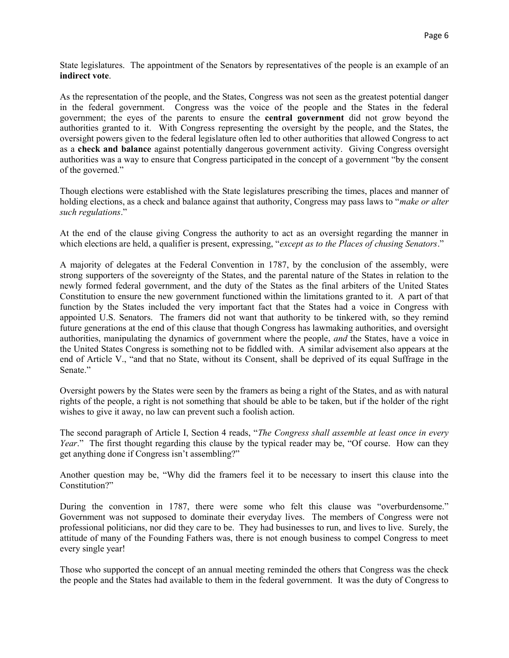State legislatures. The appointment of the Senators by representatives of the people is an example of an indirect vote.

As the representation of the people, and the States, Congress was not seen as the greatest potential danger in the federal government. Congress was the voice of the people and the States in the federal government; the eyes of the parents to ensure the central government did not grow beyond the authorities granted to it. With Congress representing the oversight by the people, and the States, the oversight powers given to the federal legislature often led to other authorities that allowed Congress to act as a check and balance against potentially dangerous government activity. Giving Congress oversight authorities was a way to ensure that Congress participated in the concept of a government "by the consent of the governed."

Though elections were established with the State legislatures prescribing the times, places and manner of holding elections, as a check and balance against that authority, Congress may pass laws to "make or alter such regulations."

At the end of the clause giving Congress the authority to act as an oversight regarding the manner in which elections are held, a qualifier is present, expressing, "except as to the Places of chusing Senators."

A majority of delegates at the Federal Convention in 1787, by the conclusion of the assembly, were strong supporters of the sovereignty of the States, and the parental nature of the States in relation to the newly formed federal government, and the duty of the States as the final arbiters of the United States Constitution to ensure the new government functioned within the limitations granted to it. A part of that function by the States included the very important fact that the States had a voice in Congress with appointed U.S. Senators. The framers did not want that authority to be tinkered with, so they remind future generations at the end of this clause that though Congress has lawmaking authorities, and oversight authorities, manipulating the dynamics of government where the people, and the States, have a voice in the United States Congress is something not to be fiddled with. A similar advisement also appears at the end of Article V., "and that no State, without its Consent, shall be deprived of its equal Suffrage in the Senate."

Oversight powers by the States were seen by the framers as being a right of the States, and as with natural rights of the people, a right is not something that should be able to be taken, but if the holder of the right wishes to give it away, no law can prevent such a foolish action.

The second paragraph of Article I, Section 4 reads, "The Congress shall assemble at least once in every Year." The first thought regarding this clause by the typical reader may be, "Of course. How can they get anything done if Congress isn't assembling?"

Another question may be, "Why did the framers feel it to be necessary to insert this clause into the Constitution?"

During the convention in 1787, there were some who felt this clause was "overburdensome." Government was not supposed to dominate their everyday lives. The members of Congress were not professional politicians, nor did they care to be. They had businesses to run, and lives to live. Surely, the attitude of many of the Founding Fathers was, there is not enough business to compel Congress to meet every single year!

Those who supported the concept of an annual meeting reminded the others that Congress was the check the people and the States had available to them in the federal government. It was the duty of Congress to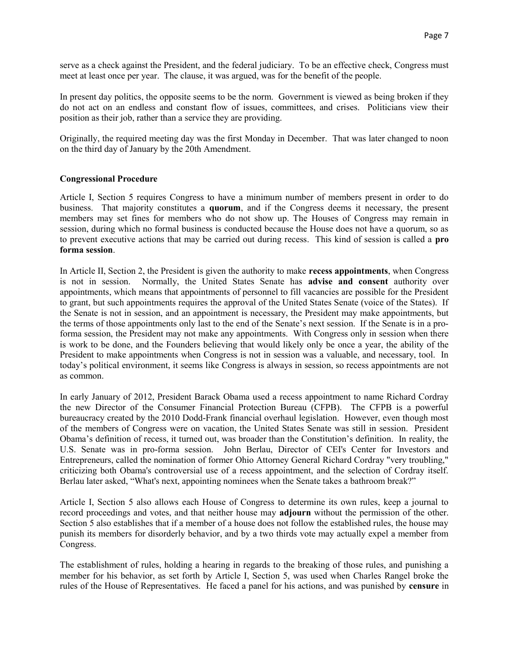serve as a check against the President, and the federal judiciary. To be an effective check, Congress must meet at least once per year. The clause, it was argued, was for the benefit of the people.

In present day politics, the opposite seems to be the norm. Government is viewed as being broken if they do not act on an endless and constant flow of issues, committees, and crises. Politicians view their position as their job, rather than a service they are providing.

Originally, the required meeting day was the first Monday in December. That was later changed to noon on the third day of January by the 20th Amendment.

#### Congressional Procedure

Article I, Section 5 requires Congress to have a minimum number of members present in order to do business. That majority constitutes a quorum, and if the Congress deems it necessary, the present members may set fines for members who do not show up. The Houses of Congress may remain in session, during which no formal business is conducted because the House does not have a quorum, so as to prevent executive actions that may be carried out during recess. This kind of session is called a pro forma session.

In Article II, Section 2, the President is given the authority to make recess appointments, when Congress is not in session. Normally, the United States Senate has advise and consent authority over appointments, which means that appointments of personnel to fill vacancies are possible for the President to grant, but such appointments requires the approval of the United States Senate (voice of the States). If the Senate is not in session, and an appointment is necessary, the President may make appointments, but the terms of those appointments only last to the end of the Senate's next session. If the Senate is in a proforma session, the President may not make any appointments. With Congress only in session when there is work to be done, and the Founders believing that would likely only be once a year, the ability of the President to make appointments when Congress is not in session was a valuable, and necessary, tool. In today's political environment, it seems like Congress is always in session, so recess appointments are not as common.

In early January of 2012, President Barack Obama used a recess appointment to name Richard Cordray the new Director of the Consumer Financial Protection Bureau (CFPB). The CFPB is a powerful bureaucracy created by the 2010 Dodd-Frank financial overhaul legislation. However, even though most of the members of Congress were on vacation, the United States Senate was still in session. President Obama's definition of recess, it turned out, was broader than the Constitution's definition. In reality, the U.S. Senate was in pro-forma session. John Berlau, Director of CEI's Center for Investors and Entrepreneurs, called the nomination of former Ohio Attorney General Richard Cordray "very troubling," criticizing both Obama's controversial use of a recess appointment, and the selection of Cordray itself. Berlau later asked, "What's next, appointing nominees when the Senate takes a bathroom break?"

Article I, Section 5 also allows each House of Congress to determine its own rules, keep a journal to record proceedings and votes, and that neither house may adjourn without the permission of the other. Section 5 also establishes that if a member of a house does not follow the established rules, the house may punish its members for disorderly behavior, and by a two thirds vote may actually expel a member from Congress.

The establishment of rules, holding a hearing in regards to the breaking of those rules, and punishing a member for his behavior, as set forth by Article I, Section 5, was used when Charles Rangel broke the rules of the House of Representatives. He faced a panel for his actions, and was punished by censure in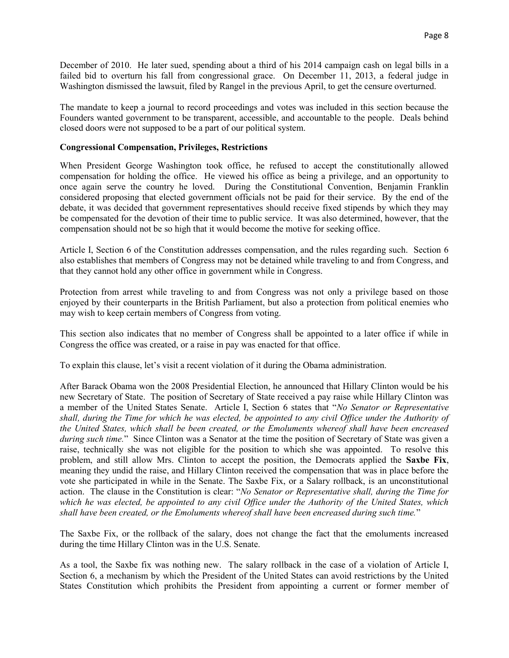December of 2010. He later sued, spending about a third of his 2014 campaign cash on legal bills in a failed bid to overturn his fall from congressional grace. On December 11, 2013, a federal judge in Washington dismissed the lawsuit, filed by Rangel in the previous April, to get the censure overturned.

The mandate to keep a journal to record proceedings and votes was included in this section because the Founders wanted government to be transparent, accessible, and accountable to the people. Deals behind closed doors were not supposed to be a part of our political system.

#### Congressional Compensation, Privileges, Restrictions

When President George Washington took office, he refused to accept the constitutionally allowed compensation for holding the office. He viewed his office as being a privilege, and an opportunity to once again serve the country he loved. During the Constitutional Convention, Benjamin Franklin considered proposing that elected government officials not be paid for their service. By the end of the debate, it was decided that government representatives should receive fixed stipends by which they may be compensated for the devotion of their time to public service. It was also determined, however, that the compensation should not be so high that it would become the motive for seeking office.

Article I, Section 6 of the Constitution addresses compensation, and the rules regarding such. Section 6 also establishes that members of Congress may not be detained while traveling to and from Congress, and that they cannot hold any other office in government while in Congress.

Protection from arrest while traveling to and from Congress was not only a privilege based on those enjoyed by their counterparts in the British Parliament, but also a protection from political enemies who may wish to keep certain members of Congress from voting.

This section also indicates that no member of Congress shall be appointed to a later office if while in Congress the office was created, or a raise in pay was enacted for that office.

To explain this clause, let's visit a recent violation of it during the Obama administration.

After Barack Obama won the 2008 Presidential Election, he announced that Hillary Clinton would be his new Secretary of State. The position of Secretary of State received a pay raise while Hillary Clinton was a member of the United States Senate. Article I, Section 6 states that "No Senator or Representative shall, during the Time for which he was elected, be appointed to any civil Office under the Authority of the United States, which shall be been created, or the Emoluments whereof shall have been encreased during such time." Since Clinton was a Senator at the time the position of Secretary of State was given a raise, technically she was not eligible for the position to which she was appointed. To resolve this problem, and still allow Mrs. Clinton to accept the position, the Democrats applied the Saxbe Fix, meaning they undid the raise, and Hillary Clinton received the compensation that was in place before the vote she participated in while in the Senate. The Saxbe Fix, or a Salary rollback, is an unconstitutional action. The clause in the Constitution is clear: "No Senator or Representative shall, during the Time for which he was elected, be appointed to any civil Office under the Authority of the United States, which shall have been created, or the Emoluments whereof shall have been encreased during such time."

The Saxbe Fix, or the rollback of the salary, does not change the fact that the emoluments increased during the time Hillary Clinton was in the U.S. Senate.

As a tool, the Saxbe fix was nothing new. The salary rollback in the case of a violation of Article I, Section 6, a mechanism by which the President of the United States can avoid restrictions by the United States Constitution which prohibits the President from appointing a current or former member of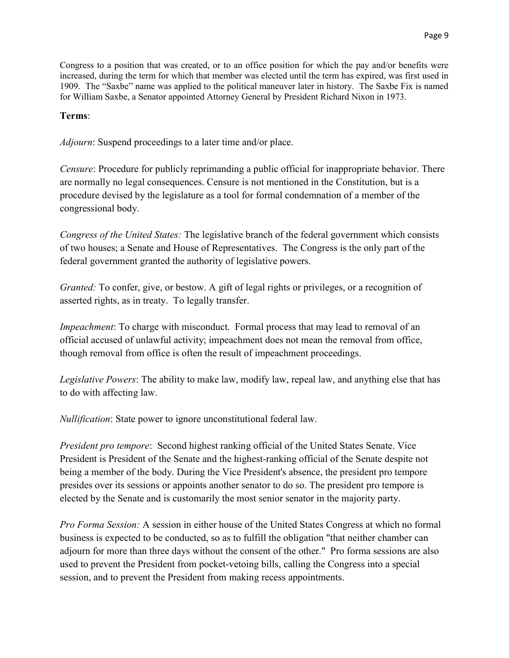Congress to a position that was created, or to an office position for which the pay and/or benefits were increased, during the term for which that member was elected until the term has expired, was first used in 1909. The "Saxbe" name was applied to the political maneuver later in history. The Saxbe Fix is named for William Saxbe, a Senator appointed Attorney General by President Richard Nixon in 1973.

## Terms:

Adjourn: Suspend proceedings to a later time and/or place.

Censure: Procedure for publicly reprimanding a public official for inappropriate behavior. There are normally no legal consequences. Censure is not mentioned in the Constitution, but is a procedure devised by the legislature as a tool for formal condemnation of a member of the congressional body.

Congress of the United States: The legislative branch of the federal government which consists of two houses; a Senate and House of Representatives. The Congress is the only part of the federal government granted the authority of legislative powers.

Granted: To confer, give, or bestow. A gift of legal rights or privileges, or a recognition of asserted rights, as in treaty. To legally transfer.

Impeachment: To charge with misconduct. Formal process that may lead to removal of an official accused of unlawful activity; impeachment does not mean the removal from office, though removal from office is often the result of impeachment proceedings.

Legislative Powers: The ability to make law, modify law, repeal law, and anything else that has to do with affecting law.

Nullification: State power to ignore unconstitutional federal law.

President pro tempore: Second highest ranking official of the United States Senate. Vice President is President of the Senate and the highest-ranking official of the Senate despite not being a member of the body. During the Vice President's absence, the president pro tempore presides over its sessions or appoints another senator to do so. The president pro tempore is elected by the Senate and is customarily the most senior senator in the majority party.

Pro Forma Session: A session in either house of the United States Congress at which no formal business is expected to be conducted, so as to fulfill the obligation "that neither chamber can adjourn for more than three days without the consent of the other." Pro forma sessions are also used to prevent the President from pocket-vetoing bills, calling the Congress into a special session, and to prevent the President from making recess appointments.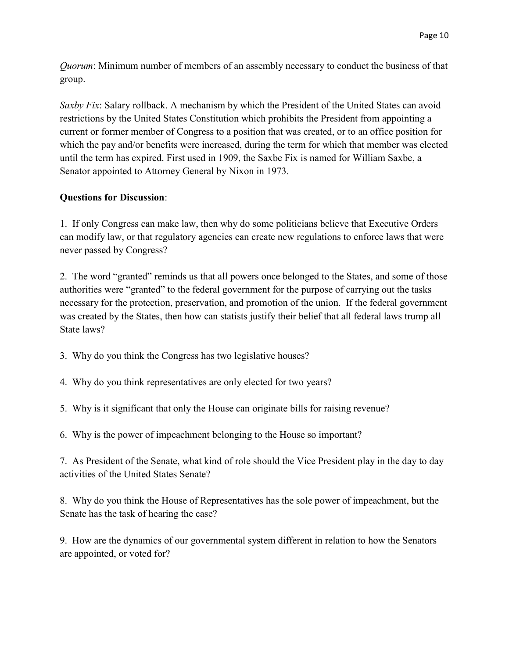Quorum: Minimum number of members of an assembly necessary to conduct the business of that group.

Saxby Fix: Salary rollback. A mechanism by which the President of the United States can avoid restrictions by the United States Constitution which prohibits the President from appointing a current or former member of Congress to a position that was created, or to an office position for which the pay and/or benefits were increased, during the term for which that member was elected until the term has expired. First used in 1909, the Saxbe Fix is named for William Saxbe, a Senator appointed to Attorney General by Nixon in 1973.

# Questions for Discussion:

1. If only Congress can make law, then why do some politicians believe that Executive Orders can modify law, or that regulatory agencies can create new regulations to enforce laws that were never passed by Congress?

2. The word "granted" reminds us that all powers once belonged to the States, and some of those authorities were "granted" to the federal government for the purpose of carrying out the tasks necessary for the protection, preservation, and promotion of the union. If the federal government was created by the States, then how can statists justify their belief that all federal laws trump all State laws?

- 3. Why do you think the Congress has two legislative houses?
- 4. Why do you think representatives are only elected for two years?
- 5. Why is it significant that only the House can originate bills for raising revenue?
- 6. Why is the power of impeachment belonging to the House so important?

7. As President of the Senate, what kind of role should the Vice President play in the day to day activities of the United States Senate?

8. Why do you think the House of Representatives has the sole power of impeachment, but the Senate has the task of hearing the case?

9. How are the dynamics of our governmental system different in relation to how the Senators are appointed, or voted for?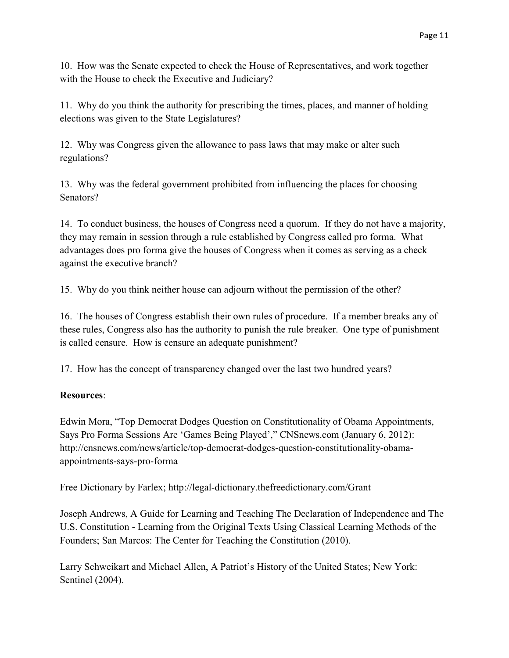10. How was the Senate expected to check the House of Representatives, and work together with the House to check the Executive and Judiciary?

11. Why do you think the authority for prescribing the times, places, and manner of holding elections was given to the State Legislatures?

12. Why was Congress given the allowance to pass laws that may make or alter such regulations?

13. Why was the federal government prohibited from influencing the places for choosing Senators?

14. To conduct business, the houses of Congress need a quorum. If they do not have a majority, they may remain in session through a rule established by Congress called pro forma. What advantages does pro forma give the houses of Congress when it comes as serving as a check against the executive branch?

15. Why do you think neither house can adjourn without the permission of the other?

16. The houses of Congress establish their own rules of procedure. If a member breaks any of these rules, Congress also has the authority to punish the rule breaker. One type of punishment is called censure. How is censure an adequate punishment?

17. How has the concept of transparency changed over the last two hundred years?

# Resources:

Edwin Mora, "Top Democrat Dodges Question on Constitutionality of Obama Appointments, Says Pro Forma Sessions Are 'Games Being Played'," CNSnews.com (January 6, 2012): http://cnsnews.com/news/article/top-democrat-dodges-question-constitutionality-obamaappointments-says-pro-forma

Free Dictionary by Farlex; http://legal-dictionary.thefreedictionary.com/Grant

Joseph Andrews, A Guide for Learning and Teaching The Declaration of Independence and The U.S. Constitution - Learning from the Original Texts Using Classical Learning Methods of the Founders; San Marcos: The Center for Teaching the Constitution (2010).

Larry Schweikart and Michael Allen, A Patriot's History of the United States; New York: Sentinel (2004).